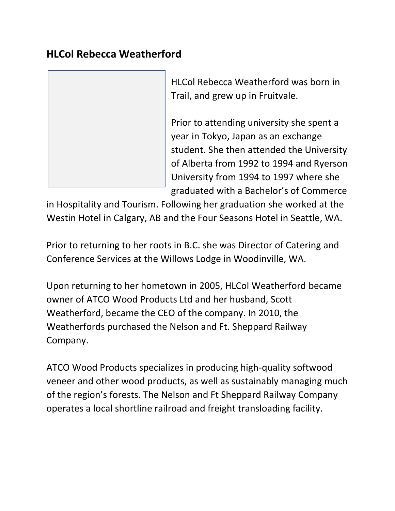## **HLCol Rebecca Weatherford**



HLCol Rebecca Weatherford was born in Trail, and grew up in Fruitvale.

Prior to attending university she spent a year in Tokyo, Japan as an exchange student. She then attended the University of Alberta from 1992 to 1994 and Ryerson University from 1994 to 1997 where she graduated with a Bachelor's of Commerce

in Hospitality and Tourism. Following her graduation she worked at the Westin Hotel in Calgary, AB and the Four Seasons Hotel in Seattle, WA.

Prior to returning to her roots in B.C. she was Director of Catering and Conference Services at the Willows Lodge in Woodinville, WA.

Upon returning to her hometown in 2005, HLCol Weatherford became owner of ATCO Wood Products Ltd and her husband, Scott Weatherford, became the CEO of the company. In 2010, the Weatherfords purchased the Nelson and Ft. Sheppard Railway Company.

ATCO Wood Products specializes in producing high-quality softwood veneer and other wood products, as well as sustainably managing much of the region's forests. The Nelson and Ft Sheppard Railway Company operates a local shortline railroad and freight transloading facility.